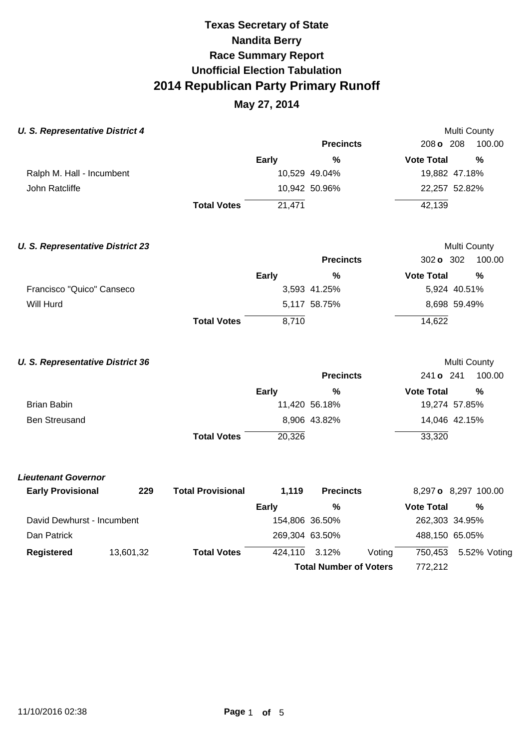### **May 27, 2014**

| <b>U. S. Representative District 4</b>  |           |                          |                |                               |        |                      |  | Multi County |
|-----------------------------------------|-----------|--------------------------|----------------|-------------------------------|--------|----------------------|--|--------------|
|                                         |           |                          |                | <b>Precincts</b>              |        | 208 o 208            |  | 100.00       |
|                                         |           |                          | Early          | $\frac{0}{0}$                 |        | <b>Vote Total</b>    |  | %            |
| Ralph M. Hall - Incumbent               |           |                          |                | 10,529 49.04%                 |        | 19,882 47.18%        |  |              |
| John Ratcliffe                          |           |                          |                | 10,942 50.96%                 |        | 22,257 52.82%        |  |              |
|                                         |           | <b>Total Votes</b>       | 21,471         |                               |        | 42,139               |  |              |
| <b>U. S. Representative District 23</b> |           |                          |                |                               |        |                      |  | Multi County |
|                                         |           |                          |                | <b>Precincts</b>              |        | 302 o 302            |  | 100.00       |
|                                         |           |                          | <b>Early</b>   | $\%$                          |        | <b>Vote Total</b>    |  | %            |
| Francisco "Quico" Canseco               |           |                          |                | 3,593 41.25%                  |        | 5,924 40.51%         |  |              |
| Will Hurd                               |           |                          |                | 5,117 58.75%                  |        | 8,698 59.49%         |  |              |
|                                         |           | <b>Total Votes</b>       | 8,710          |                               |        | 14,622               |  |              |
| <b>U. S. Representative District 36</b> |           |                          |                |                               |        |                      |  | Multi County |
|                                         |           |                          |                | <b>Precincts</b>              |        | 241 o 241            |  | 100.00       |
|                                         |           |                          | Early          | $\frac{0}{0}$                 |        | <b>Vote Total</b>    |  | %            |
| <b>Brian Babin</b>                      |           |                          |                | 11,420 56.18%                 |        | 19,274 57.85%        |  |              |
| <b>Ben Streusand</b>                    |           |                          |                | 8,906 43.82%                  |        | 14,046 42.15%        |  |              |
|                                         |           | <b>Total Votes</b>       | 20,326         |                               |        | 33,320               |  |              |
| <b>Lieutenant Governor</b>              |           |                          |                |                               |        |                      |  |              |
| <b>Early Provisional</b>                | 229       | <b>Total Provisional</b> | 1,119          | <b>Precincts</b>              |        | 8,297 o 8,297 100.00 |  |              |
|                                         |           |                          | <b>Early</b>   | %                             |        | <b>Vote Total</b>    |  | %            |
| David Dewhurst - Incumbent              |           |                          | 154,806 36.50% |                               |        | 262,303 34.95%       |  |              |
| Dan Patrick                             |           |                          | 269,304 63.50% |                               |        | 488,150 65.05%       |  |              |
| <b>Registered</b>                       | 13,601,32 | <b>Total Votes</b>       | 424,110        | 3.12%                         | Voting | 750,453              |  | 5.52% Voting |
|                                         |           |                          |                | <b>Total Number of Voters</b> |        | 772,212              |  |              |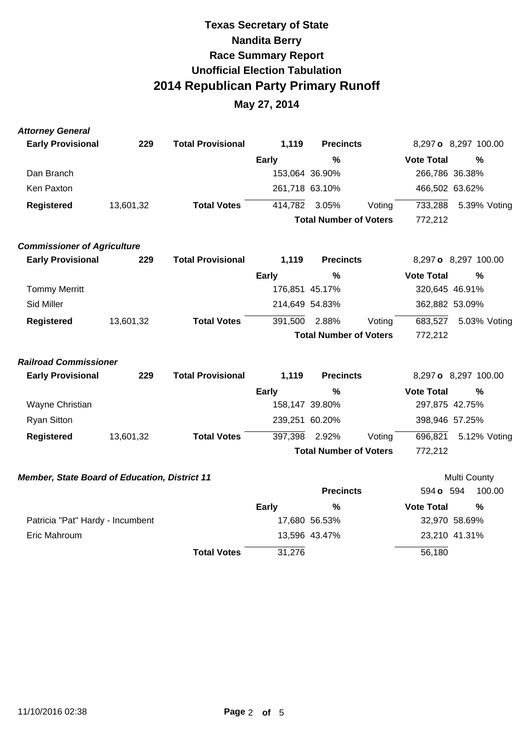| <b>Attorney General</b>                       |           |                          |                |                               |        |                   |                      |
|-----------------------------------------------|-----------|--------------------------|----------------|-------------------------------|--------|-------------------|----------------------|
| <b>Early Provisional</b>                      | 229       | <b>Total Provisional</b> | 1,119          | <b>Precincts</b>              |        |                   | 8,297 o 8,297 100.00 |
|                                               |           |                          | <b>Early</b>   | %                             |        | <b>Vote Total</b> | $\frac{0}{0}$        |
| Dan Branch                                    |           |                          |                | 153,064 36.90%                |        | 266,786 36.38%    |                      |
| Ken Paxton                                    |           |                          |                | 261,718 63.10%                |        | 466,502 63.62%    |                      |
| <b>Registered</b>                             | 13,601,32 | <b>Total Votes</b>       | 414,782        | 3.05%                         | Voting | 733,288           | 5.39% Voting         |
|                                               |           |                          |                | <b>Total Number of Voters</b> |        | 772,212           |                      |
| <b>Commissioner of Agriculture</b>            |           |                          |                |                               |        |                   |                      |
| <b>Early Provisional</b>                      | 229       | <b>Total Provisional</b> | 1,119          | <b>Precincts</b>              |        |                   | 8,297 o 8,297 100.00 |
|                                               |           |                          | <b>Early</b>   | %                             |        | <b>Vote Total</b> | $\frac{0}{0}$        |
| <b>Tommy Merritt</b>                          |           |                          |                | 176,851 45.17%                |        | 320,645 46.91%    |                      |
| Sid Miller                                    |           |                          | 214,649 54.83% |                               |        | 362,882 53.09%    |                      |
| <b>Registered</b>                             | 13,601,32 | <b>Total Votes</b>       | 391,500        | 2.88%                         | Voting | 683,527           | 5.03% Voting         |
|                                               |           |                          |                | <b>Total Number of Voters</b> |        | 772,212           |                      |
| <b>Railroad Commissioner</b>                  |           |                          |                |                               |        |                   |                      |
| <b>Early Provisional</b>                      | 229       | <b>Total Provisional</b> | 1,119          | <b>Precincts</b>              |        |                   | 8,297 o 8,297 100.00 |
|                                               |           |                          | <b>Early</b>   | $\frac{0}{0}$                 |        | <b>Vote Total</b> | $\frac{0}{0}$        |
| Wayne Christian                               |           |                          |                | 158,147 39.80%                |        | 297,875 42.75%    |                      |
| <b>Ryan Sitton</b>                            |           |                          | 239,251 60.20% |                               |        | 398,946 57.25%    |                      |
| <b>Registered</b>                             | 13,601,32 | <b>Total Votes</b>       | 397,398        | 2.92%                         | Voting | 696,821           | 5.12% Voting         |
|                                               |           |                          |                | <b>Total Number of Voters</b> |        | 772,212           |                      |
| Member, State Board of Education, District 11 |           |                          |                |                               |        |                   | Multi County         |

|                                  |                    |        | <b>Precincts</b> | 594 <b>o</b> 594  | 100.00        |
|----------------------------------|--------------------|--------|------------------|-------------------|---------------|
|                                  |                    | Early  | %                | <b>Vote Total</b> | $\%$          |
| Patricia "Pat" Hardy - Incumbent |                    |        | 17,680 56.53%    |                   | 32,970 58.69% |
| Eric Mahroum                     |                    |        | 13,596 43.47%    |                   | 23,210 41.31% |
|                                  | <b>Total Votes</b> | 31,276 |                  | 56,180            |               |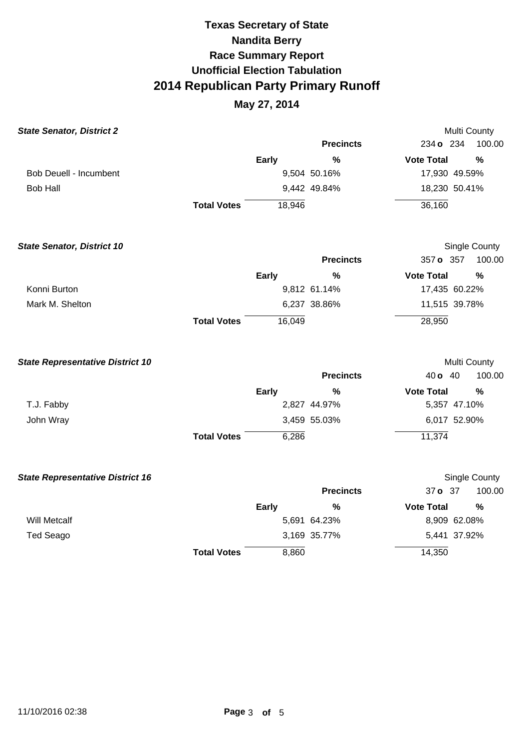### **May 27, 2014**

| <b>State Senator, District 2</b>        |                    |              |                  | Multi County      |               |
|-----------------------------------------|--------------------|--------------|------------------|-------------------|---------------|
|                                         |                    |              | <b>Precincts</b> | 234 o 234         | 100.00        |
|                                         |                    | <b>Early</b> | $\frac{0}{0}$    | <b>Vote Total</b> | $\frac{0}{0}$ |
| <b>Bob Deuell - Incumbent</b>           |                    |              | 9,504 50.16%     | 17,930 49.59%     |               |
| <b>Bob Hall</b>                         |                    |              | 9,442 49.84%     | 18,230 50.41%     |               |
|                                         | <b>Total Votes</b> | 18,946       |                  | 36,160            |               |
| <b>State Senator, District 10</b>       |                    |              |                  |                   | Single County |
|                                         |                    |              | <b>Precincts</b> | 357 o 357         | 100.00        |
|                                         |                    | <b>Early</b> | %                | <b>Vote Total</b> | $\frac{0}{0}$ |
| Konni Burton                            |                    |              | 9,812 61.14%     | 17,435 60.22%     |               |
| Mark M. Shelton                         |                    |              | 6,237 38.86%     | 11,515 39.78%     |               |
|                                         | <b>Total Votes</b> | 16,049       |                  | 28,950            |               |
| <b>State Representative District 10</b> |                    |              |                  | Multi County      |               |
|                                         |                    |              | <b>Precincts</b> | 40 <b>o</b> 40    | 100.00        |
|                                         |                    | <b>Early</b> | %                | <b>Vote Total</b> | %             |
| T.J. Fabby                              |                    |              | 2,827 44.97%     | 5,357 47.10%      |               |
| John Wray                               |                    |              | 3,459 55.03%     | 6,017 52.90%      |               |
|                                         | <b>Total Votes</b> | 6,286        |                  | 11,374            |               |
| <b>State Representative District 16</b> |                    |              |                  |                   | Single County |
|                                         |                    |              | <b>Precincts</b> | 37 o 37           | 100.00        |
|                                         |                    | <b>Early</b> | $\frac{0}{0}$    | <b>Vote Total</b> | $\frac{0}{0}$ |
| <b>Will Metcalf</b>                     |                    |              | 5,691 64.23%     | 8,909 62.08%      |               |
| <b>Ted Seago</b>                        |                    |              | 3,169 35.77%     | 5,441 37.92%      |               |
|                                         | <b>Total Votes</b> | 8,860        |                  | 14,350            |               |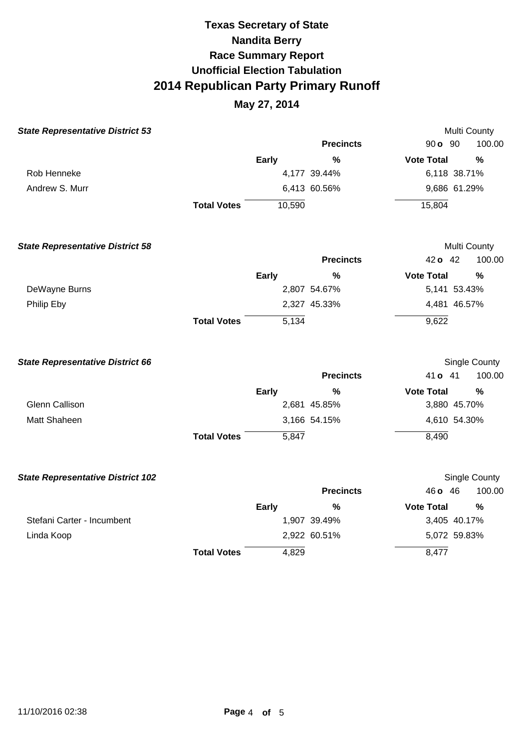### **May 27, 2014**

| <b>State Representative District 53</b>  |                    |              |                  | Multi County      |                      |
|------------------------------------------|--------------------|--------------|------------------|-------------------|----------------------|
|                                          |                    |              | <b>Precincts</b> | 90 <b>o</b> 90    | 100.00               |
|                                          |                    | Early        | $\frac{0}{0}$    | <b>Vote Total</b> | %                    |
| Rob Henneke                              |                    |              | 4,177 39.44%     | 6,118 38.71%      |                      |
| Andrew S. Murr                           |                    |              | 6,413 60.56%     | 9,686 61.29%      |                      |
|                                          | <b>Total Votes</b> | 10,590       |                  | 15,804            |                      |
| <b>State Representative District 58</b>  |                    |              |                  | Multi County      |                      |
|                                          |                    |              | <b>Precincts</b> | 42 o 42           | 100.00               |
|                                          |                    | Early        | $\frac{0}{0}$    | <b>Vote Total</b> | %                    |
| DeWayne Burns                            |                    |              | 2,807 54.67%     | 5,141 53.43%      |                      |
| Philip Eby                               |                    |              | 2,327 45.33%     | 4,481 46.57%      |                      |
|                                          | <b>Total Votes</b> | 5,134        |                  | 9,622             |                      |
| <b>State Representative District 66</b>  |                    |              |                  |                   | <b>Single County</b> |
|                                          |                    |              | <b>Precincts</b> | 41 o 41           | 100.00               |
|                                          |                    | <b>Early</b> | $\%$             | <b>Vote Total</b> | $\frac{0}{0}$        |
| <b>Glenn Callison</b>                    |                    |              | 2,681 45.85%     | 3,880 45.70%      |                      |
| Matt Shaheen                             |                    |              | 3,166 54.15%     | 4,610 54.30%      |                      |
|                                          | <b>Total Votes</b> | 5,847        |                  | 8,490             |                      |
| <b>State Representative District 102</b> |                    |              |                  |                   | Single County        |
|                                          |                    |              | <b>Precincts</b> | 46 <b>o</b> 46    | 100.00               |
|                                          |                    | <b>Early</b> | %                | <b>Vote Total</b> | $\frac{0}{0}$        |
| Stefani Carter - Incumbent               |                    |              | 1,907 39.49%     | 3,405 40.17%      |                      |
| Linda Koop                               |                    |              | 2,922 60.51%     | 5,072 59.83%      |                      |
|                                          | <b>Total Votes</b> | 4,829        |                  | 8,477             |                      |